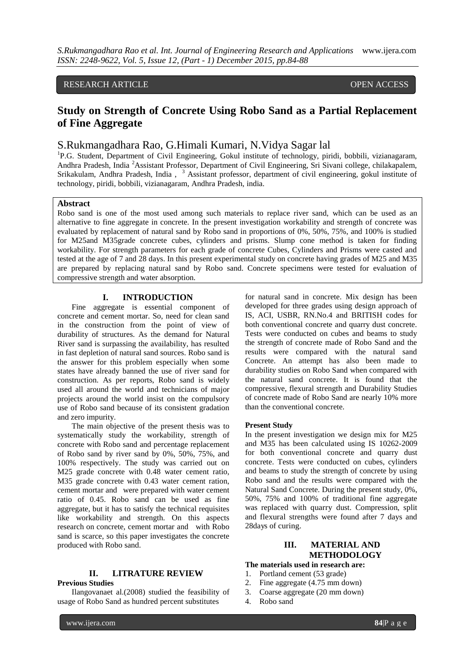## RESEARCH ARTICLE OPEN ACCESS

# **Study on Strength of Concrete Using Robo Sand as a Partial Replacement of Fine Aggregate**

## S.Rukmangadhara Rao, G.Himali Kumari, N.Vidya Sagar lal

<sup>1</sup>P.G. Student, Department of Civil Engineering, Gokul institute of technology, piridi, bobbili, vizianagaram, Andhra Pradesh, India <sup>2</sup>Assistant Professor, Department of Civil Engineering, Sri Sivani college, chilakapalem, Srikakulam, Andhra Pradesh, India, <sup>3</sup> Assistant professor, department of civil engineering, gokul institute of technology, piridi, bobbili, vizianagaram, Andhra Pradesh, india.

#### **Abstract**

Robo sand is one of the most used among such materials to replace river sand, which can be used as an alternative to fine aggregate in concrete. In the present investigation workability and strength of concrete was evaluated by replacement of natural sand by Robo sand in proportions of 0%, 50%, 75%, and 100% is studied for M25and M35grade concrete cubes, cylinders and prisms. Slump cone method is taken for finding workability. For strength parameters for each grade of concrete Cubes, Cylinders and Prisms were casted and tested at the age of 7 and 28 days. In this present experimental study on concrete having grades of M25 and M35 are prepared by replacing natural sand by Robo sand. Concrete specimens were tested for evaluation of compressive strength and water absorption.

#### **I. INTRODUCTION**

Fine aggregate is essential component of concrete and cement mortar. So, need for clean sand in the construction from the point of view of durability of structures. As the demand for Natural River sand is surpassing the availability, has resulted in fast depletion of natural sand sources. Robo sand is the answer for this problem especially when some states have already banned the use of river sand for construction. As per reports, Robo sand is widely used all around the world and technicians of major projects around the world insist on the compulsory use of Robo sand because of its consistent gradation and zero impurity.

The main objective of the present thesis was to systematically study the workability, strength of concrete with Robo sand and percentage replacement of Robo sand by river sand by 0%, 50%, 75%, and 100% respectively. The study was carried out on M25 grade concrete with 0.48 water cement ratio, M35 grade concrete with 0.43 water cement ration, cement mortar and were prepared with water cement ratio of 0.45. Robo sand can be used as fine aggregate, but it has to satisfy the technical requisites like workability and strength. On this aspects research on concrete, cement mortar and with Robo sand is scarce, so this paper investigates the concrete produced with Robo sand.

## **II. LITRATURE REVIEW**

#### **Previous Studies**

Ilangovanaet al.(2008) studied the feasibility of usage of Robo Sand as hundred percent substitutes

for natural sand in concrete. Mix design has been developed for three grades using design approach of IS, ACI, USBR, RN.No.4 and BRITISH codes for both conventional concrete and quarry dust concrete. Tests were conducted on cubes and beams to study the strength of concrete made of Robo Sand and the results were compared with the natural sand Concrete. An attempt has also been made to durability studies on Robo Sand when compared with the natural sand concrete. It is found that the compressive, flexural strength and Durability Studies of concrete made of Robo Sand are nearly 10% more than the conventional concrete.

#### **Present Study**

In the present investigation we design mix for M25 and M35 has been calculated using IS 10262-2009 for both conventional concrete and quarry dust concrete. Tests were conducted on cubes, cylinders and beams to study the strength of concrete by using Robo sand and the results were compared with the Natural Sand Concrete. During the present study, 0%, 50%, 75% and 100% of traditional fine aggregate was replaced with quarry dust. Compression, split and flexural strengths were found after 7 days and 28days of curing.

## **III. MATERIAL AND METHODOLOGY**

## **The materials used in research are:**

- 1. Portland cement (53 grade)
- 2. Fine aggregate (4.75 mm down)
- 3. Coarse aggregate (20 mm down)
- 4. Robo sand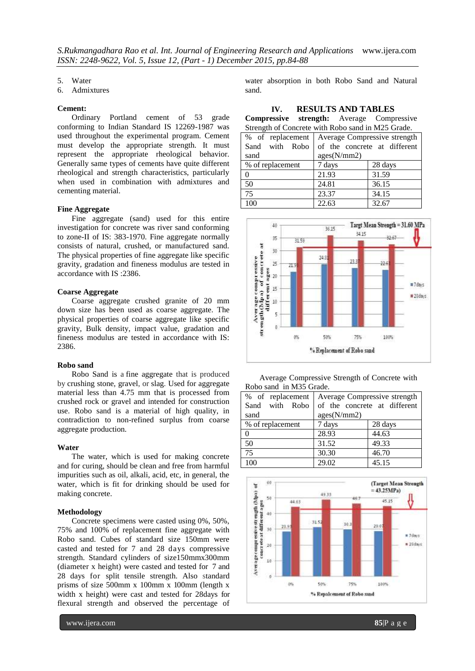5. Water

6. Admixtures

#### **Cement:**

Ordinary Portland cement of 53 grade conforming to Indian Standard IS 12269-1987 was used throughout the experimental program. Cement must develop the appropriate strength. It must represent the appropriate rheological behavior. Generally same types of cements have quite different rheological and strength characteristics, particularly when used in combination with admixtures and cementing material.

#### **Fine Aggregate**

Fine aggregate (sand) used for this entire investigation for concrete was river sand conforming to zone-II of IS: 383-1970. Fine aggregate normally consists of natural, crushed, or manufactured sand. The physical properties of fine aggregate like specific gravity, gradation and fineness modulus are tested in accordance with IS :2386.

### **Coarse Aggregate**

Coarse aggregate crushed granite of 20 mm down size has been used as coarse aggregate. The physical properties of coarse aggregate like specific gravity, Bulk density, impact value, gradation and fineness modulus are tested in accordance with IS: 2386.

#### **Robo sand**

Robo Sand is a fine aggregate that is produced by crushing stone, gravel, or slag. Used for aggregate material less than 4.75 mm that is processed from crushed rock or gravel and intended for construction use. Robo sand is a material of high quality, in contradiction to non-refined surplus from coarse aggregate production.

#### **Water**

The water, which is used for making concrete and for curing, should be clean and free from harmful impurities such as oil, alkali, acid, etc, in general, the water, which is fit for drinking should be used for making concrete.

#### **Methodology**

Concrete specimens were casted using 0%, 50%, 75% and 100% of replacement fine aggregate with Robo sand. Cubes of standard size 150mm were casted and tested for 7 and 28 days compressive strength. Standard cylinders of size150mmx300mm (diameter x height) were casted and tested for 7 and 28 days for split tensile strength. Also standard prisms of size 500mm x 100mm x 100mm (length x width x height) were cast and tested for 28days for flexural strength and observed the percentage of

water absorption in both Robo Sand and Natural sand.

#### **IV. RESULTS AND TABLES**

**Compressive strength:** Average Compressive Strength of Concrete with Robo sand in M25 Grade.

| % of replacement   Average Compressive strength |             |         |
|-------------------------------------------------|-------------|---------|
| Sand with Robo of the concrete at different     |             |         |
| sand                                            | ages(N/mm2) |         |
| % of replacement                                | 7 days      | 28 days |
| $\Omega$                                        | 21.93       | 31.59   |
| 50                                              | 24.81       | 36.15   |
| 75                                              | 23.37       | 34.15   |
| 100                                             | 22.63       | 32.67   |



Average Compressive Strength of Concrete with Robo sand in M35 Grade.

| % of replacement | Average Compressive strength |         |
|------------------|------------------------------|---------|
| Sand with Robo   | of the concrete at different |         |
| sand             | ages(N/mm2)                  |         |
| % of replacement | 7 days                       | 28 days |
| $\overline{0}$   | 28.93                        | 44.63   |
| 50               | 31.52                        | 49.33   |
| 75               | 30.30                        | 46.70   |
| 100              | 29.02                        | 45.15   |

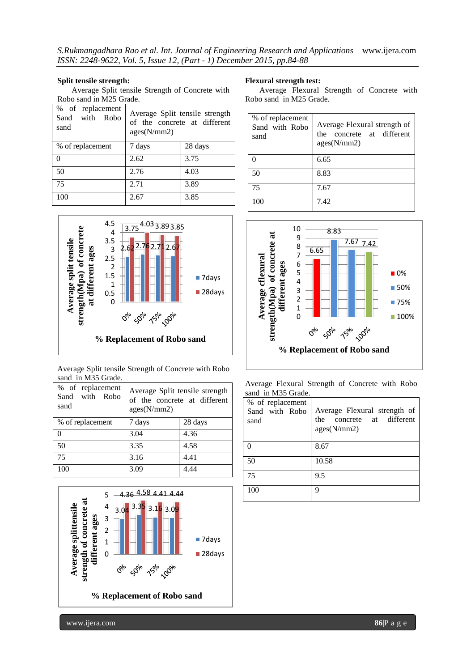*S.Rukmangadhara Rao et al. Int. Journal of Engineering Research and Applications* www.ijera.com *ISSN: 2248-9622, Vol. 5, Issue 12, (Part - 1) December 2015, pp.84-88*

#### **Split tensile strength:**

Average Split tensile Strength of Concrete with Robo sand in M25 Grade.

| % of replacement<br>Sand with Robo<br>sand | Average Split tensile strength<br>of the concrete at different<br>ages(N/mm 2) |         |
|--------------------------------------------|--------------------------------------------------------------------------------|---------|
| % of replacement                           | 7 days                                                                         | 28 days |
| 0                                          | 2.62                                                                           | 3.75    |
| 50                                         | 2.76                                                                           | 4.03    |
| 75                                         | 2.71                                                                           | 3.89    |
| 100                                        | 2.67                                                                           | 3.85    |



Average Split tensile Strength of Concrete with Robo sand in M35 Grade.

| % of replacement<br>Sand<br>with Robo<br>sand | Average Split tensile strength<br>of the concrete at different<br>ages(N/mm2) |         |
|-----------------------------------------------|-------------------------------------------------------------------------------|---------|
| % of replacement                              | 7 days                                                                        | 28 days |
| 0                                             | 3.04                                                                          | 4.36    |
| 50                                            | 3.35                                                                          | 4.58    |
| 75                                            | 3.16                                                                          | 4.41    |
| 100                                           | 3.09                                                                          | 4 44    |



#### **Flexural strength test:**

Average Flexural Strength of Concrete with Robo sand in M25 Grade.

| % of replacement<br>Sand with Robo<br>sand | Average Flexural strength of<br>concrete at different<br>the<br>ages(N/mm2) |
|--------------------------------------------|-----------------------------------------------------------------------------|
|                                            | 6.65                                                                        |
| 50                                         | 8.83                                                                        |
| 75                                         | 7.67                                                                        |
| 100                                        | 7.42                                                                        |



Average Flexural Strength of Concrete with Robo sand in M35 Grade.

| % of replacement<br>Sand with Robo<br>sand | Average Flexural strength of<br>the concrete at different<br>ages(N/mm2) |
|--------------------------------------------|--------------------------------------------------------------------------|
|                                            | 8.67                                                                     |
| 50                                         | 10.58                                                                    |
| 75                                         | 9.5                                                                      |
| 100                                        | 9                                                                        |

www.ijera.com **86**|P a g e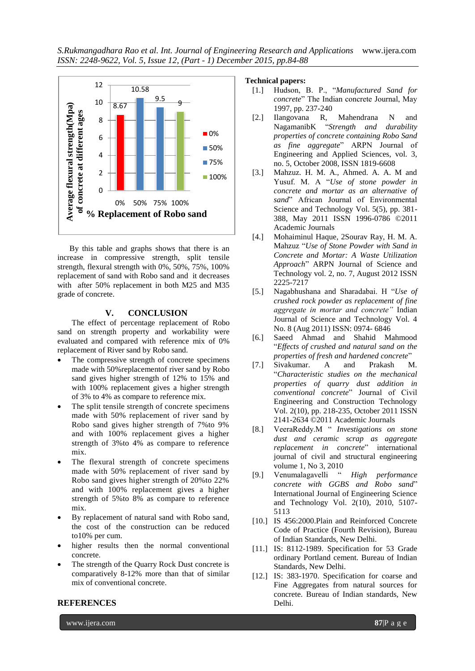*S.Rukmangadhara Rao et al. Int. Journal of Engineering Research and Applications* www.ijera.com *ISSN: 2248-9622, Vol. 5, Issue 12, (Part - 1) December 2015, pp.84-88*



 By this table and graphs shows that there is an increase in compressive strength, split tensile strength, flexural strength with 0%, 50%, 75%, 100% replacement of sand with Robo sand and it decreases with after 50% replacement in both M25 and M35 grade of concrete.

### **V. CONCLUSION**

The effect of percentage replacement of Robo sand on strength property and workability were evaluated and compared with reference mix of 0% replacement of River sand by Robo sand.

- The compressive strength of concrete specimens made with 50%replacementof river sand by Robo sand gives higher strength of 12% to 15% and with 100% replacement gives a higher strength of 3% to 4% as compare to reference mix.
- The split tensile strength of concrete specimens made with 50% replacement of river sand by Robo sand gives higher strength of 7%to 9% and with 100% replacement gives a higher strength of 3%to 4% as compare to reference mix.
- The flexural strength of concrete specimens made with 50% replacement of river sand by Robo sand gives higher strength of 20%to 22% and with 100% replacement gives a higher strength of 5%to 8% as compare to reference mix.
- By replacement of natural sand with Robo sand, the cost of the construction can be reduced to10% per cum.
- higher results then the normal conventional concrete.
- The strength of the Quarry Rock Dust concrete is comparatively 8-12% more than that of similar mix of conventional concrete.

## **REFERENCES**

www.ijera.com **87**|P a g e

#### **Technical papers:**

- [1.] Hudson, B. P., "*Manufactured Sand for concrete*" The Indian concrete Journal, May 1997, pp. 237-240
- [2.] Ilangovana R, Mahendrana N and NagamanibK "*Strength and durability properties of concrete containing Robo Sand as fine aggregate*" ARPN Journal of Engineering and Applied Sciences, vol. 3, no. 5, October 2008, ISSN 1819-6608
- [3.] Mahzuz. H. M. A., Ahmed. A. A. M and Yusuf. M. A "*Use of stone powder in concrete and mortar as an alternative of sand*" African Journal of Environmental Science and Technology Vol. 5(5), pp. 381- 388, May 2011 ISSN 1996-0786 ©2011 Academic Journals
- [4.] Mohaiminul Haque, 2Sourav Ray, H. M. A. Mahzuz "*Use of Stone Powder with Sand in Concrete and Mortar: A Waste Utilization Approach*" ARPN Journal of Science and Technology vol. 2, no. 7, August 2012 ISSN 2225-7217
- [5.] Nagabhushana and Sharadabai. H "*Use of crushed rock powder as replacement of fine aggregate in mortar and concrete"* Indian Journal of Science and Technology Vol. 4 No. 8 (Aug 2011) ISSN: 0974- 6846
- [6.] Saeed Ahmad and Shahid Mahmood "*Effects of crushed and natural sand on the properties of fresh and hardened concrete*"
- [7.] Sivakumar. A and Prakash M. "*Characteristic studies on the mechanical properties of quarry dust addition in conventional concrete*" Journal of Civil Engineering and Construction Technology Vol. 2(10), pp. 218-235, October 2011 ISSN 2141-2634 ©2011 Academic Journals
- [8.] VeeraReddy.M " *Investigations on stone dust and ceramic scrap as aggregate replacement in concrete*" international journal of civil and structural engineering volume 1, No 3, 2010
- [9.] Venumalagavelli " *High performance concrete with GGBS and Robo sand*" International Journal of Engineering Science and Technology Vol. 2(10), 2010, 5107- 5113
- [10.] IS 456:2000. Plain and Reinforced Concrete Code of Practice (Fourth Revision), Bureau of Indian Standards, New Delhi.
- [11.] IS: 8112-1989. Specification for 53 Grade ordinary Portland cement. Bureau of Indian Standards, New Delhi.
- [12.] IS: 383-1970. Specification for coarse and Fine Aggregates from natural sources for concrete. Bureau of Indian standards, New Delhi.